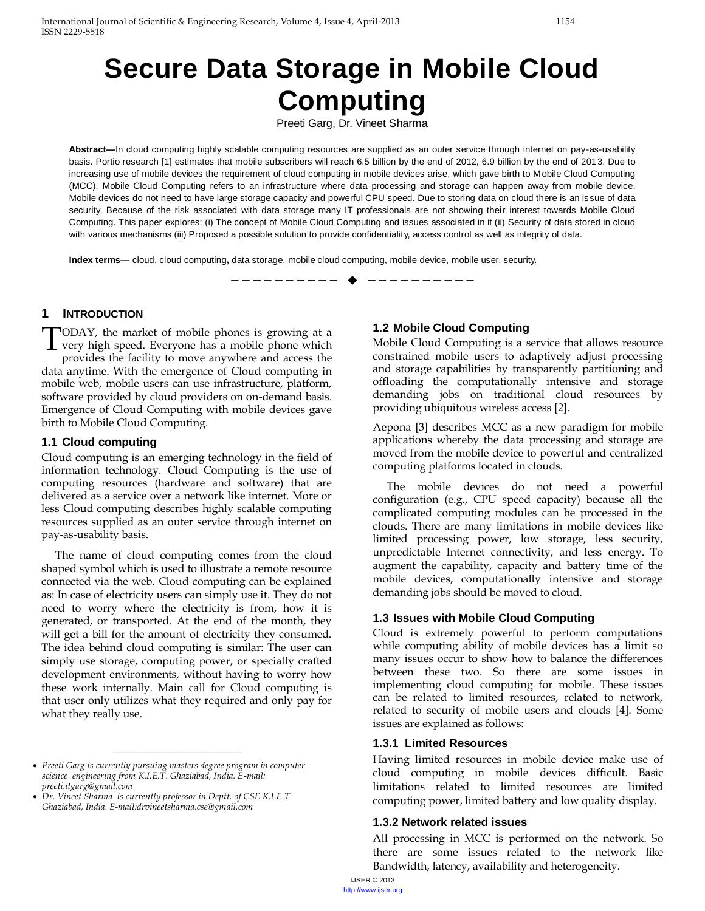# **Secure Data Storage in Mobile Cloud Computing**

Preeti Garg, Dr. Vineet Sharma

**Abstract—**In cloud computing highly scalable computing resources are supplied as an outer service through internet on pay-as-usability basis. Portio research [1] estimates that mobile subscribers will reach 6.5 billion by the end of 2012, 6.9 billion by the end of 2013. Due to increasing use of mobile devices the requirement of cloud computing in mobile devices arise, which gave birth to Mobile Cloud Computing (MCC). Mobile Cloud Computing refers to an infrastructure where data processing and storage can happen away from mobile device. Mobile devices do not need to have large storage capacity and powerful CPU speed. Due to storing data on cloud there is an issue of data security. Because of the risk associated with data storage many IT professionals are not showing their interest towards Mobile Cloud Computing. This paper explores: (i) The concept of Mobile Cloud Computing and issues associated in it (ii) Security of data stored in cloud with various mechanisms (iii) Proposed a possible solution to provide confidentiality, access control as well as integrity of data.

—————————— ——————————

**Index terms—** cloud, cloud computing**,** data storage, mobile cloud computing, mobile device, mobile user, security.

## **1 INTRODUCTION**

ODAY, the market of mobile phones is growing at a **TODAY**, the market of mobile phones is growing at a very high speed. Everyone has a mobile phone which gravitate the facility to may a gravitage and access the provides the facility to move anywhere and access the data anytime. With the emergence of Cloud computing in mobile web, mobile users can use infrastructure, platform, software provided by cloud providers on on-demand basis. Emergence of Cloud Computing with mobile devices gave birth to Mobile Cloud Computing.

#### **1.1 Cloud computing**

Cloud computing is an emerging technology in the field of information technology. Cloud Computing is the use of computing resources (hardware and software) that are delivered as a service over a network like internet. More or less Cloud computing describes highly scalable computing resources supplied as an outer service through internet on pay-as-usability basis.

The name of cloud computing comes from the cloud shaped symbol which is used to illustrate a remote resource connected via the web. Cloud computing can be explained as: In case of electricity users can simply use it. They do not need to worry where the electricity is from, how it is generated, or transported. At the end of the month, they will get a bill for the amount of electricity they consumed. The idea behind cloud computing is similar: The user can simply use storage, computing power, or specially crafted development environments, without having to worry how these work internally. Main call for Cloud computing is that user only utilizes what they required and only pay for what they really use.

————————————————

#### **1.2 Mobile Cloud Computing**

Mobile Cloud Computing is a service that allows resource constrained mobile users to adaptively adjust processing and storage capabilities by transparently partitioning and offloading the computationally intensive and storage demanding jobs on traditional cloud resources by providing ubiquitous wireless access [2].

Aepona [3] describes MCC as a new paradigm for mobile applications whereby the data processing and storage are moved from the mobile device to powerful and centralized computing platforms located in clouds.

The mobile devices do not need a powerful configuration (e.g., CPU speed capacity) because all the complicated computing modules can be processed in the clouds. There are many limitations in mobile devices like limited processing power, low storage, less security, unpredictable Internet connectivity, and less energy. To augment the capability, capacity and battery time of the mobile devices, computationally intensive and storage demanding jobs should be moved to cloud.

#### **1.3 Issues with Mobile Cloud Computing**

Cloud is extremely powerful to perform computations while computing ability of mobile devices has a limit so many issues occur to show how to balance the differences between these two. So there are some issues in implementing cloud computing for mobile. These issues can be related to limited resources, related to network, related to security of mobile users and clouds [4]. Some issues are explained as follows:

#### **1.3.1 Limited Resources**

Having limited resources in mobile device make use of cloud computing in mobile devices difficult. Basic limitations related to limited resources are limited computing power, limited battery and low quality display.

#### **1.3.2 Network related issues**

All processing in MCC is performed on the network. So there are some issues related to the network like Bandwidth, latency, availability and heterogeneity.

*Preeti Garg is currently pursuing masters degree program in computer science engineering from K.I.E.T. Ghaziabad, India. E-mail: preeti.itgarg@gmail.com*

*Dr. Vineet Sharma is currently professor in Deptt. of CSE K.I.E.T Ghaziabad, India. E-mail:drvineetsharma.cse@gmail.com*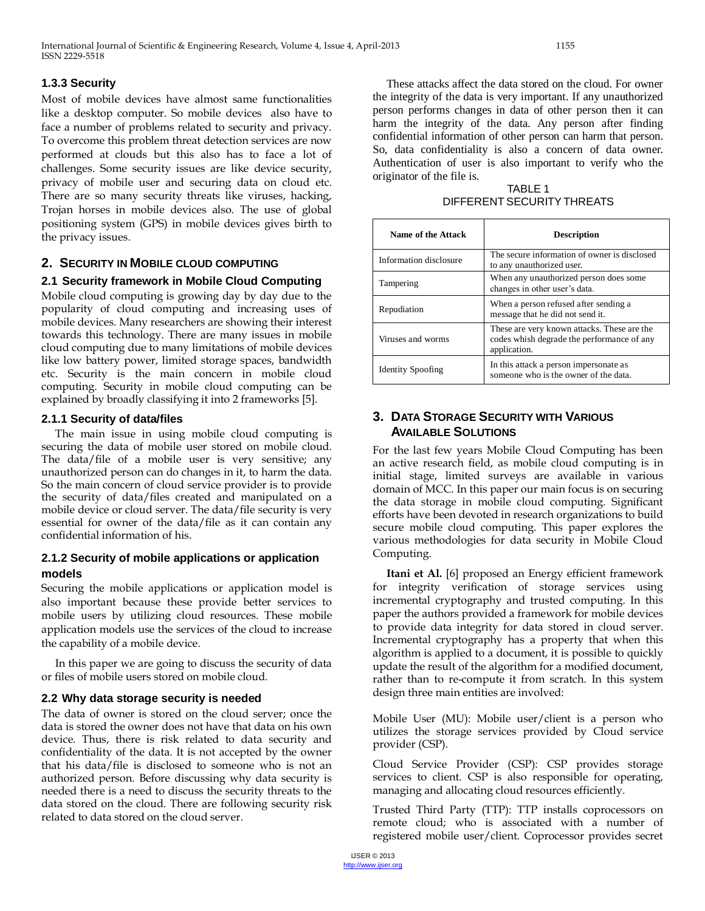## **1.3.3 Security**

Most of mobile devices have almost same functionalities like a desktop computer. So mobile devices also have to face a number of problems related to security and privacy. To overcome this problem threat detection services are now performed at clouds but this also has to face a lot of challenges. Some security issues are like device security, privacy of mobile user and securing data on cloud etc. There are so many security threats like viruses, hacking, Trojan horses in mobile devices also. The use of global positioning system (GPS) in mobile devices gives birth to the privacy issues.

## **2. SECURITY IN MOBILE CLOUD COMPUTING**

## **2.1 Security framework in Mobile Cloud Computing**

Mobile cloud computing is growing day by day due to the popularity of cloud computing and increasing uses of mobile devices. Many researchers are showing their interest towards this technology. There are many issues in mobile cloud computing due to many limitations of mobile devices like low battery power, limited storage spaces, bandwidth etc. Security is the main concern in mobile cloud computing. Security in mobile cloud computing can be explained by broadly classifying it into 2 frameworks [5].

## **2.1.1 Security of data/files**

The main issue in using mobile cloud computing is securing the data of mobile user stored on mobile cloud. The data/file of a mobile user is very sensitive; any unauthorized person can do changes in it, to harm the data. So the main concern of cloud service provider is to provide the security of data/files created and manipulated on a mobile device or cloud server. The data/file security is very essential for owner of the data/file as it can contain any confidential information of his.

## **2.1.2 Security of mobile applications or application models**

Securing the mobile applications or application model is also important because these provide better services to mobile users by utilizing cloud resources. These mobile application models use the services of the cloud to increase the capability of a mobile device.

In this paper we are going to discuss the security of data or files of mobile users stored on mobile cloud.

## **2.2 Why data storage security is needed**

The data of owner is stored on the cloud server; once the data is stored the owner does not have that data on his own device. Thus, there is risk related to data security and confidentiality of the data. It is not accepted by the owner that his data/file is disclosed to someone who is not an authorized person. Before discussing why data security is needed there is a need to discuss the security threats to the data stored on the cloud. There are following security risk related to data stored on the cloud server.

These attacks affect the data stored on the cloud. For owner the integrity of the data is very important. If any unauthorized person performs changes in data of other person then it can harm the integrity of the data. Any person after finding confidential information of other person can harm that person. So, data confidentiality is also a concern of data owner. Authentication of user is also important to verify who the originator of the file is.

TABLE 1 DIFFERENT SECURITYTHREATS

| Name of the Attack       | <b>Description</b>                                                                                        |
|--------------------------|-----------------------------------------------------------------------------------------------------------|
| Information disclosure   | The secure information of owner is disclosed<br>to any unauthorized user.                                 |
| Tampering                | When any unauthorized person does some<br>changes in other user's data.                                   |
| Repudiation              | When a person refused after sending a<br>message that he did not send it.                                 |
| Viruses and worms        | These are very known attacks. These are the<br>codes whish degrade the performance of any<br>application. |
| <b>Identity Spoofing</b> | In this attack a person impersonate as<br>someone who is the owner of the data.                           |

# **3. DATA STORAGE SECURITY WITH VARIOUS AVAILABLE SOLUTIONS**

For the last few years Mobile Cloud Computing has been an active research field, as mobile cloud computing is in initial stage, limited surveys are available in various domain of MCC. In this paper our main focus is on securing the data storage in mobile cloud computing. Significant efforts have been devoted in research organizations to build secure mobile cloud computing. This paper explores the various methodologies for data security in Mobile Cloud Computing.

**Itani et Al.** [6] proposed an Energy efficient framework for integrity verification of storage services using incremental cryptography and trusted computing. In this paper the authors provided a framework for mobile devices to provide data integrity for data stored in cloud server. Incremental cryptography has a property that when this algorithm is applied to a document, it is possible to quickly update the result of the algorithm for a modified document, rather than to re-compute it from scratch. In this system design three main entities are involved:

Mobile User (MU): Mobile user/client is a person who utilizes the storage services provided by Cloud service provider (CSP).

Cloud Service Provider (CSP): CSP provides storage services to client. CSP is also responsible for operating, managing and allocating cloud resources efficiently.

Trusted Third Party (TTP): TTP installs coprocessors on remote cloud; who is associated with a number of registered mobile user/client. Coprocessor provides secret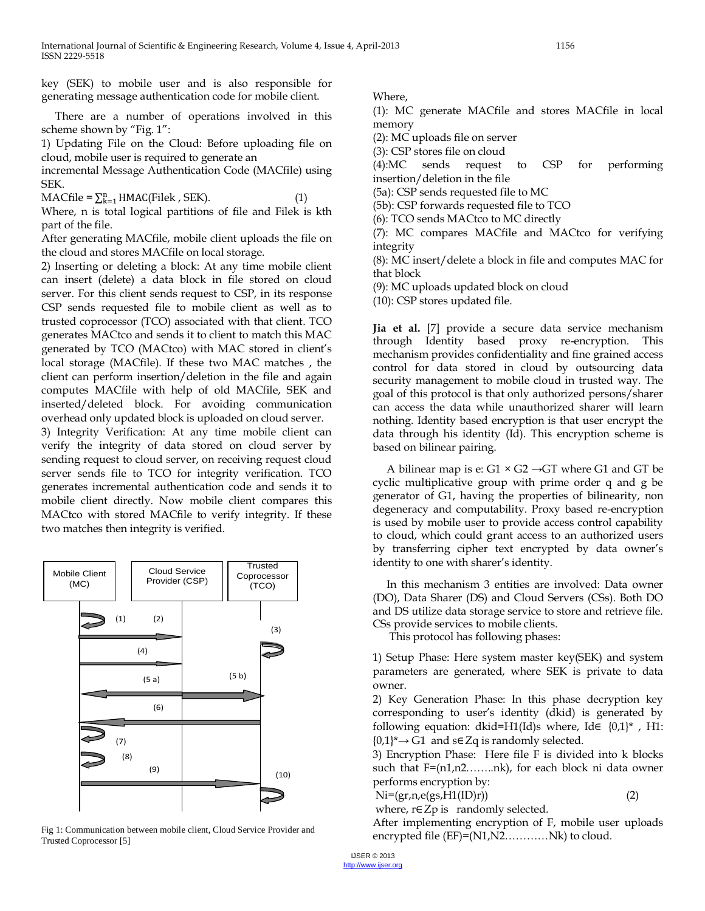key (SEK) to mobile user and is also responsible for generating message authentication code for mobile client.

There are a number of operations involved in this scheme shown by "Fig. 1":

1) Updating File on the Cloud: Before uploading file on cloud, mobile user is required to generate an

incremental Message Authentication Code (MACfile) using SEK.

 $\text{MACfile} = \sum_{k=1}^{n} \text{HMAC}(\text{Filek}, \text{SEK}).$  (1)

Where, n is total logical partitions of file and Filek is kth part of the file.

After generating MACfile, mobile client uploads the file on the cloud and stores MACfile on local storage.

2) Inserting or deleting a block: At any time mobile client can insert (delete) a data block in file stored on cloud server. For this client sends request to CSP, in its response CSP sends requested file to mobile client as well as to trusted coprocessor (TCO) associated with that client. TCO generates MACtco and sends it to client to match this MAC generated by TCO (MACtco) with MAC stored in client's local storage (MACfile). If these two MAC matches , the client can perform insertion/deletion in the file and again computes MACfile with help of old MACfile, SEK and inserted/deleted block. For avoiding communication overhead only updated block is uploaded on cloud server.

3) Integrity Verification: At any time mobile client can verify the integrity of data stored on cloud server by sending request to cloud server, on receiving request cloud server sends file to TCO for integrity verification. TCO generates incremental authentication code and sends it to mobile client directly. Now mobile client compares this MACtco with stored MACfile to verify integrity. If these two matches then integrity is verified.



Fig 1: Communication between mobile client, Cloud Service Provider and Trusted Coprocessor [5]

Where,

(1): MC generate MACfile and stores MACfile in local memory

(2): MC uploads file on server

(3): CSP stores file on cloud

(4):MC sends request to CSP for performing insertion/deletion in the file

(5a): CSP sends requested file to MC

(5b): CSP forwards requested file to TCO

(6): TCO sends MACtco to MC directly

(7): MC compares MACfile and MACtco for verifying integrity

(8): MC insert/delete a block in file and computes MAC for that block

(9): MC uploads updated block on cloud

(10): CSP stores updated file.

**Jia et al.** [7] provide a secure data service mechanism through Identity based proxy re-encryption. This mechanism provides confidentiality and fine grained access control for data stored in cloud by outsourcing data security management to mobile cloud in trusted way. The goal of this protocol is that only authorized persons/sharer can access the data while unauthorized sharer will learn nothing. Identity based encryption is that user encrypt the data through his identity (Id). This encryption scheme is based on bilinear pairing.

A bilinear map is e:  $G1 \times G2 \rightarrow GT$  where G1 and GT be cyclic multiplicative group with prime order q and g be generator of G1, having the properties of bilinearity, non degeneracy and computability. Proxy based re-encryption is used by mobile user to provide access control capability to cloud, which could grant access to an authorized users by transferring cipher text encrypted by data owner's identity to one with sharer's identity.

In this mechanism 3 entities are involved: Data owner (DO), Data Sharer (DS) and Cloud Servers (CSs). Both DO and DS utilize data storage service to store and retrieve file. CSs provide services to mobile clients.

This protocol has following phases:

1) Setup Phase: Here system master key(SEK) and system parameters are generated, where SEK is private to data owner.

2) Key Generation Phase: In this phase decryption key corresponding to user's identity (dkid) is generated by following equation: dkid=H1(Id)s where, Id $\in \{0,1\}^*$ , H1:  ${0,1}^* \rightarrow G1$  and s∈ Zq is randomly selected.

3) Encryption Phase: Here file F is divided into k blocks such that F=(n1,n2……..nk), for each block ni data owner performs encryption by:

 $\text{Ni}=(\text{gr},\text{n},\text{e}(\text{gs},\text{H1}(\text{ID})\text{r}))$  (2)

where, r∈Zp is randomly selected.

After implementing encryption of F, mobile user uploads encrypted file (EF)=(N1,N2............Nk) to cloud.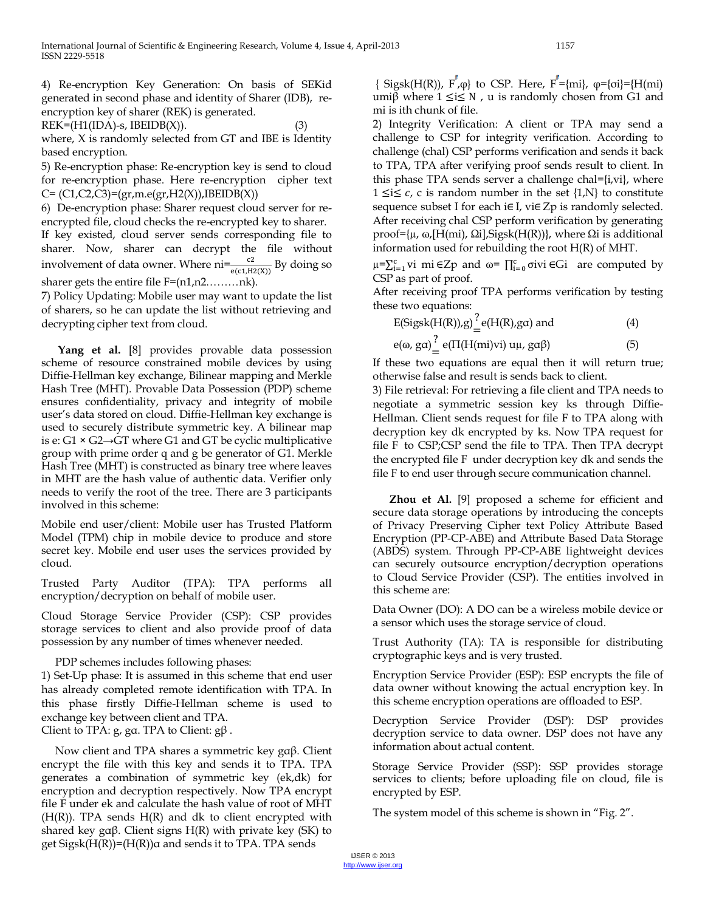4) Re-encryption Key Generation: On basis of SEKid generated in second phase and identity of Sharer (IDB), reencryption key of sharer (REK) is generated.

 $REK=(H1(IDA)-s, IBEIDB(X)).$  (3) where, X is randomly selected from GT and IBE is Identity based encryption.

5) Re-encryption phase: Re-encryption key is send to cloud for re-encryption phase. Here re-encryption cipher text  $C = (C1, C2, C3) = (gr, m. e (gr, H2(X)), IBEIDB(X))$ 

6) De-encryption phase: Sharer request cloud server for reencrypted file, cloud checks the re-encrypted key to sharer. If key existed, cloud server sends corresponding file to sharer. Now, sharer can decrypt the file without involvement of data owner. Where  $ni = \frac{c^2}{e(c_1, H_2(X))}$  By doing so sharer gets the entire file F=(n1,n2........nk).

7) Policy Updating: Mobile user may want to update the list of sharers, so he can update the list without retrieving and decrypting cipher text from cloud.

**Yang et al.** [8] provides provable data possession scheme of resource constrained mobile devices by using Diffie-Hellman key exchange, Bilinear mapping and Merkle Hash Tree (MHT). Provable Data Possession (PDP) scheme ensures confidentiality, privacy and integrity of mobile user's data stored on cloud. Diffie-Hellman key exchange is used to securely distribute symmetric key. A bilinear map is e: G1  $\times$  G2→GT where G1 and GT be cyclic multiplicative group with prime order q and g be generator of G1. Merkle Hash Tree (MHT) is constructed as binary tree where leaves in MHT are the hash value of authentic data. Verifier only needs to verify the root of the tree. There are 3 participants involved in this scheme:

Mobile end user/client: Mobile user has Trusted Platform Model (TPM) chip in mobile device to produce and store secret key. Mobile end user uses the services provided by cloud.

Trusted Party Auditor (TPA): TPA performs all encryption/decryption on behalf of mobile user.

Cloud Storage Service Provider (CSP): CSP provides storage services to client and also provide proof of data possession by any number of times whenever needed.

PDP schemes includes following phases:

1) Set-Up phase: It is assumed in this scheme that end user has already completed remote identification with TPA. In this phase firstly Diffie-Hellman scheme is used to exchange key between client and TPA. Client to TPA:  $g$ ,  $g\alpha$ . TPA to Client:  $g\beta$ .

Now client and TPA shares a symmetric key gαβ. Client encrypt the file with this key and sends it to TPA. TPA generates a combination of symmetric key (ek,dk) for encryption and decryption respectively. Now TPA encrypt file F under ek and calculate the hash value of root of MHT  $(H(R))$ . TPA sends  $H(R)$  and dk to client encrypted with shared key gαβ. Client signs  $H(R)$  with private key (SK) to get  $Sigsk(H(R)) = (H(R))\alpha$  and sends it to TPA. TPA sends

{ Sigsk(H(R)), F<sub>1</sub> $\varphi$ } to CSP. Here, F<sup> $'$ </sup>={mi},  $\varphi$ ={ $\varphi$ i}={H(mi)} umiβ where  $1 ≤ i ≤ N$ , u is randomly chosen from G1 and mi is ith chunk of file.

2) Integrity Verification: A client or TPA may send a challenge to CSP for integrity verification. According to challenge (chal) CSP performs verification and sends it back to TPA, TPA after verifying proof sends result to client. In this phase TPA sends server a challenge chal={i,vi}, where 1 ≤i ≤  $c$ , c is random number in the set {1,N} to constitute sequence subset I for each i∈I, vi∈Zp is randomly selected. After receiving chal CSP perform verification by generating proof={ $\mu$ , ω,[H(mi), Ωi],Sigsk(H(R))}, where Ωi is additional information used for rebuilding the root H(R) of MHT.

 $μ = \sum_{i=1}^{c} vi$  mi ∈Zp and ω=  $\prod_{i=0}^{c} \sigma iv$  ∈Gi are computed by CSP as part of proof.

After receiving proof TPA performs verification by testing these two equations:

$$
E(Sigsk(H(R)), g) \stackrel{?}{=} e(H(R), ga) \text{ and } \tag{4}
$$

e(ω, gα) ?  $=$  e(Π(H(mi)vi) uμ, gαβ) (5)

If these two equations are equal then it will return true; otherwise false and result is sends back to client.

3) File retrieval: For retrieving a file client and TPA needs to negotiate a symmetric session key ks through Diffie-Hellman. Client sends request for file F to TPA along with decryption key dk encrypted by ks. Now TPA request for file F to CSP;CSP send the file to TPA. Then TPA decrypt the encrypted file F under decryption key dk and sends the file F to end user through secure communication channel.

**Zhou et Al.** [9] proposed a scheme for efficient and secure data storage operations by introducing the concepts of Privacy Preserving Cipher text Policy Attribute Based Encryption (PP-CP-ABE) and Attribute Based Data Storage (ABDS) system. Through PP-CP-ABE lightweight devices can securely outsource encryption/decryption operations to Cloud Service Provider (CSP). The entities involved in this scheme are:

Data Owner (DO): A DO can be a wireless mobile device or a sensor which uses the storage service of cloud.

Trust Authority (TA): TA is responsible for distributing cryptographic keys and is very trusted.

Encryption Service Provider (ESP): ESP encrypts the file of data owner without knowing the actual encryption key. In this scheme encryption operations are offloaded to ESP.

Decryption Service Provider (DSP): DSP provides decryption service to data owner. DSP does not have any information about actual content.

Storage Service Provider (SSP): SSP provides storage services to clients; before uploading file on cloud, file is encrypted by ESP.

The system model of this scheme is shown in "Fig. 2".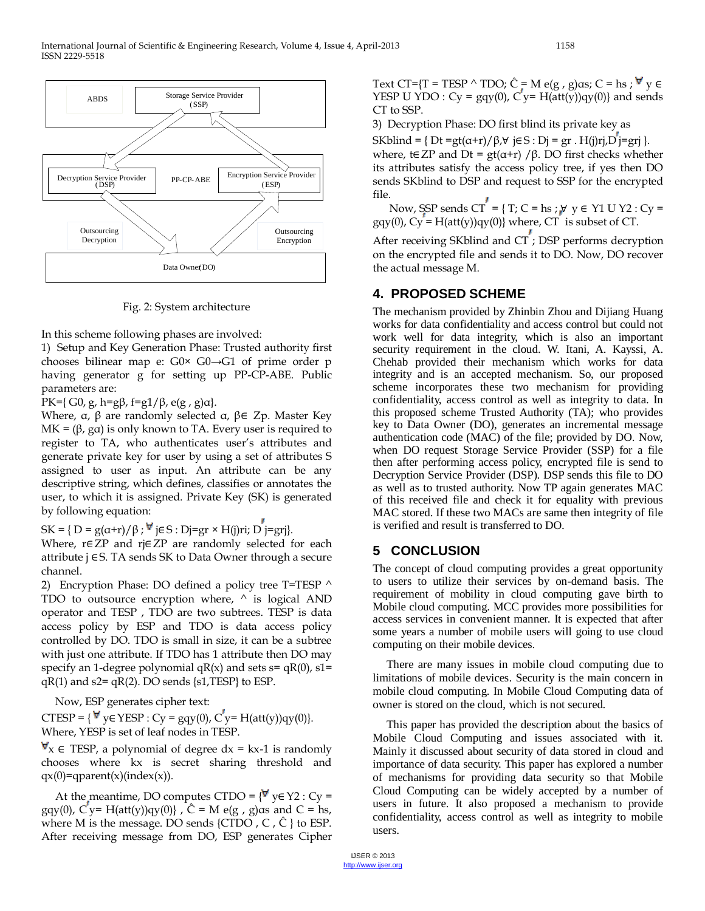

Fig. 2: System architecture

In this scheme following phases are involved:

1) Setup and Key Generation Phase: Trusted authority first chooses bilinear map e: G0× G0→G1 of prime order p having generator g for setting up PP-CP-ABE. Public parameters are:

PK={G0, g, h=gβ, f=g1/β, e(g, g)α}.

Where,  $\alpha$ ,  $\beta$  are randomly selected  $\alpha$ ,  $\beta \in Zp$ . Master Key MK =  $(\beta, g\alpha)$  is only known to TA. Every user is required to register to TA, who authenticates user's attributes and generate private key for user by using a set of attributes S assigned to user as input. An attribute can be any descriptive string, which defines, classifies or annotates the user, to which it is assigned. Private Key (SK) is generated by following equation:

 $SK = \{ D = g(\alpha+r)/\beta : \forall j \in S : Dj = gr \times H(j)ri; D'j = grj \}.$ 

Where, r∈ZP and rj∈ZP are randomly selected for each attribute j ∈S. TA sends SK to Data Owner through a secure channel.

2) Encryption Phase: DO defined a policy tree T=TESP  $\wedge$ TDO to outsource encryption where,  $\wedge$  is logical AND operator and TESP , TDO are two subtrees. TESP is data access policy by ESP and TDO is data access policy controlled by DO. TDO is small in size, it can be a subtree with just one attribute. If TDO has 1 attribute then DO may specify an 1-degree polynomial  $qR(x)$  and sets  $s = qR(0)$ ,  $s1 =$  $qR(1)$  and  $s2 = qR(2)$ . DO sends  $\{s1, \text{TEST}\}\)$  to ESP.

Now, ESP generates cipher text:

CTESP =  $\{\forall y \in \text{YESP} : Cy = gqv(0), C'y = H(atty)qy(0)\}.$ Where, YESP is set of leaf nodes in TESP.

 $\forall x \in \text{TEST}$ , a polynomial of degree dx = kx-1 is randomly chooses where kx is secret sharing threshold and  $qx(0)=qparent(x)(index(x)).$ 

At the meantime, DO computes CTDO =  $\{ \forall y \in Y2 : Cy =$ gqy(0),  $C'y = H(att(y))qy(0)$ ,  $\hat{C} = M e(g, g)$  and  $C = hs$ , where M is the message. DO sends  $\{CTDO, C, \hat{C} \}$  to ESP. After receiving message from DO, ESP generates Cipher Text CT={T = TESP ^ TDO;  $\hat{C}$  = M e(g, g)as; C = hs;  $\forall y \in$ YESP U YDO :  $Cy = gqy(0)$ ,  $Cy = H(att(y))qy(0)$  and sends CT to SSP.

3) Decryption Phase: DO first blind its private key as

SKblind = { $Dt = gt(\alpha+r)/\beta$ , $\forall$  j $\in$ S :  $D$ j = gr . H(j)rj, $D$ <sup>'</sup>j=grj }. where, t∈ZP and Dt =  $gt(α+r)/β$ . DO first checks whether its attributes satisfy the access policy tree, if yes then DO sends SKblind to DSP and request to SSP for the encrypted file.

Now, SSP sends  $CT = \{ T; C = hs; \forall y \in Y1 U Y2 : Cy = ... \}$  $g q y(0)$ ,  $Cy = H(at t(y)) q y(0)$  where,  $CT$  is subset of  $CT$ .

After receiving SKblind and CT ; DSP performs decryption on the encrypted file and sends it to DO. Now, DO recover the actual message M.

## **4. PROPOSED SCHEME**

The mechanism provided by Zhinbin Zhou and Dijiang Huang works for data confidentiality and access control but could not work well for data integrity, which is also an important security requirement in the cloud. W. Itani, A. Kayssi, A. Chehab provided their mechanism which works for data integrity and is an accepted mechanism. So, our proposed scheme incorporates these two mechanism for providing confidentiality, access control as well as integrity to data. In this proposed scheme Trusted Authority (TA); who provides key to Data Owner (DO), generates an incremental message authentication code (MAC) of the file; provided by DO. Now, when DO request Storage Service Provider (SSP) for a file then after performing access policy, encrypted file is send to Decryption Service Provider (DSP). DSP sends this file to DO as well as to trusted authority. Now TP again generates MAC of this received file and check it for equality with previous MAC stored. If these two MACs are same then integrity of file is verified and result is transferred to DO.

# **5 CONCLUSION**

The concept of cloud computing provides a great opportunity to users to utilize their services by on-demand basis. The requirement of mobility in cloud computing gave birth to Mobile cloud computing. MCC provides more possibilities for access services in convenient manner. It is expected that after some years a number of mobile users will going to use cloud computing on their mobile devices.

There are many issues in mobile cloud computing due to limitations of mobile devices. Security is the main concern in mobile cloud computing. In Mobile Cloud Computing data of owner is stored on the cloud, which is not secured.

This paper has provided the description about the basics of Mobile Cloud Computing and issues associated with it. Mainly it discussed about security of data stored in cloud and importance of data security. This paper has explored a number of mechanisms for providing data security so that Mobile Cloud Computing can be widely accepted by a number of users in future. It also proposed a mechanism to provide confidentiality, access control as well as integrity to mobile users.

IJSER © 2013 http://www.ijser.org